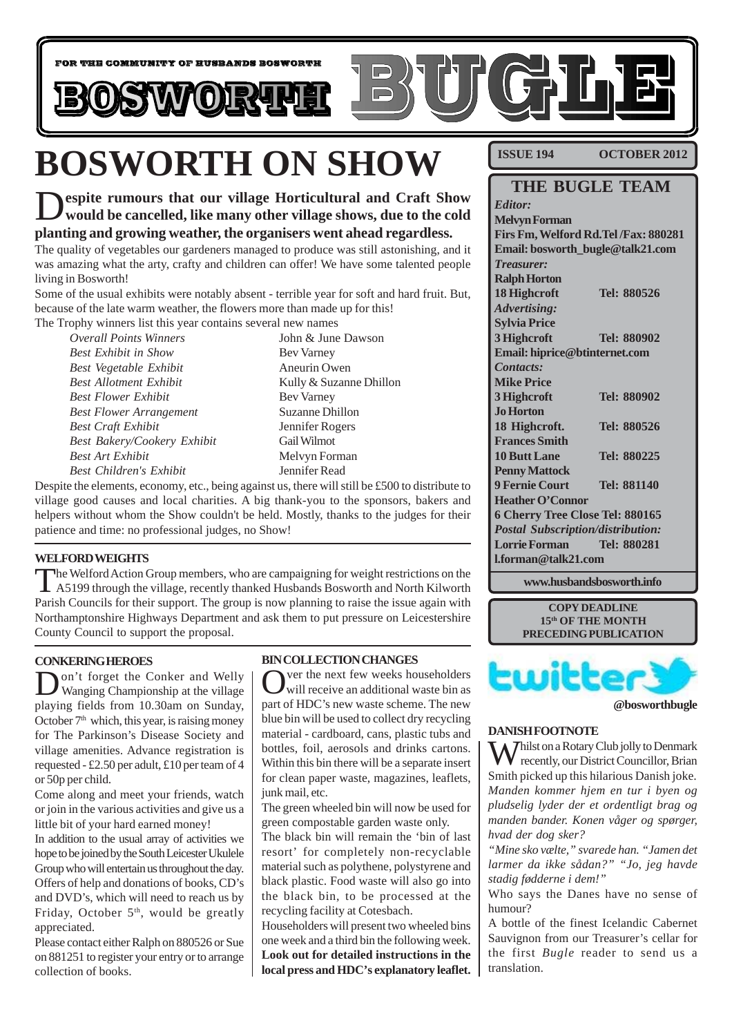

# **BOSWORTH ON SHOW**

espite rumours that our village Horticultural and Craft Show **would be cancelled, like many other village shows, due to the cold planting and growing weather, the organisers went ahead regardless.**

The quality of vegetables our gardeners managed to produce was still astonishing, and it was amazing what the arty, crafty and children can offer! We have some talented people living in Bosworth!

Some of the usual exhibits were notably absent - terrible year for soft and hard fruit. But, because of the late warm weather, the flowers more than made up for this! The Trophy winners list this year contains several new names

*Overall Points Winners* John & June Dawson *Best Exhibit in Show* Bev Varney *Best Vegetable Exhibit* Aneurin Owen *Best Allotment Exhibit* Kully & Suzanne Dhillon *Best Flower Exhibit* Bev Varney *Best Flower Arrangement* Suzanne Dhillon *Best Craft Exhibit* Jennifer Rogers *Best Bakery/Cookery Exhibit* Gail Wilmot *Best Art Exhibit* Melvyn Forman *Best Children's Exhibit* Jennifer Read

Despite the elements, economy, etc., being against us, there will still be £500 to distribute to village good causes and local charities. A big thank-you to the sponsors, bakers and helpers without whom the Show couldn't be held. Mostly, thanks to the judges for their patience and time: no professional judges, no Show!

#### **WELFORD WEIGHTS**

The Welford Action Group members, who are campaigning for weight restrictions on the A5199 through the village, recently thanked Husbands Bosworth and North Kilworth Parish Councils for their support. The group is now planning to raise the issue again with Northamptonshire Highways Department and ask them to put pressure on Leicestershire County Council to support the proposal.

#### **CONKERING HEROES**

Don't forget the Conker and Welly Wanging Championship at the village playing fields from 10.30am on Sunday, October  $7<sup>th</sup>$  which, this year, is raising money for The Parkinson's Disease Society and village amenities. Advance registration is requested - £2.50 per adult, £10 per team of 4 or 50p per child.

Come along and meet your friends, watch or join in the various activities and give us a little bit of your hard earned money!

In addition to the usual array of activities we hope to be joined by the South Leicester Ukulele Group who will entertain us throughout the day. Offers of help and donations of books, CD's and DVD's, which will need to reach us by Friday, October 5<sup>th</sup>, would be greatly appreciated.

Please contact either Ralph on 880526 or Sue on 881251 to register your entry or to arrange collection of books.

#### **BIN COLLECTION CHANGES**

ver the next few weeks householders will receive an additional waste bin as part of HDC's new waste scheme. The new blue bin will be used to collect dry recycling material - cardboard, cans, plastic tubs and bottles, foil, aerosols and drinks cartons. Within this bin there will be a separate insert for clean paper waste, magazines, leaflets, junk mail, etc.

The green wheeled bin will now be used for green compostable garden waste only.

The black bin will remain the 'bin of last resort' for completely non-recyclable material such as polythene, polystyrene and black plastic. Food waste will also go into the black bin, to be processed at the recycling facility at Cotesbach.

Householders will present two wheeled bins one week and a third bin the following week. **Look out for detailed instructions in the local press and HDC's explanatory leaflet.**

**ISSUE 194 OCTOBER 2012**

### **THE BUGLE TEAM**

*Editor:* **Melvyn Forman Firs Fm, Welford Rd.Tel /Fax: 880281 Email: bosworth\_bugle@talk21.com** *Treasurer:* **Ralph Horton 18 Highcroft Tel: 880526** *Advertising:* **Sylvia Price 3 Highcroft Tel: 880902 Email: hiprice@btinternet.com** *Contacts:* **Mike Price 3 Highcroft Tel: 880902 Jo Horton 18 Highcroft. Tel: 880526 Frances Smith 10 Butt Lane Tel: 880225 Penny Mattock 9 Fernie Court Tel: 881140 Heather O'Connor 6 Cherry Tree Close Tel: 880165** *Postal Subscription/distribution:* **Lorrie Forman Tel: 880281 l.forman@talk21.com**

**www.husbandsbosworth.info**

**COPY DEADLINE 15th OF THE MONTH PRECEDING PUBLICATION**



#### **DANISH FOOTNOTE**

**X** *T* hilst on a Rotary Club jolly to Denmark  $\mathbf V$  recently, our District Councillor, Brian Smith picked up this hilarious Danish joke. *Manden kommer hjem en tur i byen og pludselig lyder der et ordentligt brag og manden bander. Konen våger og spørger, hvad der dog sker?*

*"Mine sko vælte," svarede han. "Jamen det larmer da ikke sådan?" "Jo, jeg havde stadig fødderne i dem!"*

Who says the Danes have no sense of humour?

A bottle of the finest Icelandic Cabernet Sauvignon from our Treasurer's cellar for the first *Bugle* reader to send us a translation.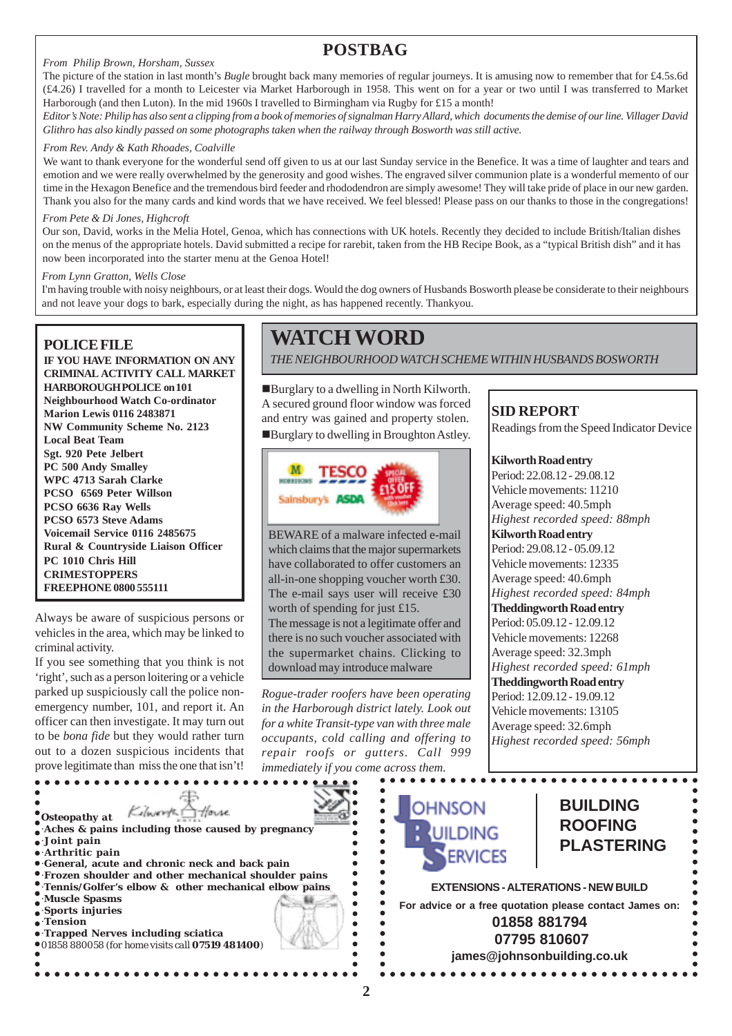#### *From Philip Brown, Horsham, Sussex*

### **POSTBAG**

The picture of the station in last month's *Bugle* brought back many memories of regular journeys. It is amusing now to remember that for £4.5s.6d (£4.26) I travelled for a month to Leicester via Market Harborough in 1958. This went on for a year or two until I was transferred to Market Harborough (and then Luton). In the mid 1960s I travelled to Birmingham via Rugby for £15 a month!

*Editor's Note: Philip has also sent a clipping from a book of memories of signalman Harry Allard, which documents the demise of our line. Villager David Glithro has also kindly passed on some photographs taken when the railway through Bosworth was still active.*

#### *From Rev. Andy & Kath Rhoades, Coalville*

We want to thank everyone for the wonderful send off given to us at our last Sunday service in the Benefice. It was a time of laughter and tears and emotion and we were really overwhelmed by the generosity and good wishes. The engraved silver communion plate is a wonderful memento of our time in the Hexagon Benefice and the tremendous bird feeder and rhododendron are simply awesome! They will take pride of place in our new garden. Thank you also for the many cards and kind words that we have received. We feel blessed! Please pass on our thanks to those in the congregations!

#### *From Pete & Di Jones, Highcroft*

Our son, David, works in the Melia Hotel, Genoa, which has connections with UK hotels. Recently they decided to include British/Italian dishes on the menus of the appropriate hotels. David submitted a recipe for rarebit, taken from the HB Recipe Book, as a "typical British dish" and it has now been incorporated into the starter menu at the Genoa Hotel!

#### *From Lynn Gratton, Wells Close*

I'm having trouble with noisy neighbours, or at least their dogs. Would the dog owners of Husbands Bosworth please be considerate to their neighbours and not leave your dogs to bark, especially during the night, as has happened recently. Thankyou.

#### **POLICE FILE**

**IF YOU HAVE INFORMATION ON ANY CRIMINAL ACTIVITY CALL MARKET HARBOROUGH POLICE on 101 Neighbourhood Watch Co-ordinator Marion Lewis 0116 2483871 NW Community Scheme No. 2123 Local Beat Team Sgt. 920 Pete Jelbert PC 500 Andy Smalley WPC 4713 Sarah Clarke PCSO 6569 Peter Willson PCSO 6636 Ray Wells PCSO 6573 Steve Adams Voicemail Service 0116 2485675 Rural & Countryside Liaison Officer PC 1010 Chris Hill CRIMESTOPPERS FREEPHONE 0800 555111**

Always be aware of suspicious persons or vehicles in the area, which may be linked to criminal activity.

If you see something that you think is not 'right', such as a person loitering or a vehicle parked up suspiciously call the police nonemergency number, 101, and report it. An officer can then investigate. It may turn out to be *bona fide* but they would rather turn out to a dozen suspicious incidents that prove legitimate than miss the one that isn't!

### **WATCH WORD**

*THE NEIGHBOURHOOD WATCH SCHEME WITHIN HUSBANDS BOSWORTH*

!Burglary to a dwelling in North Kilworth. A secured ground floor window was forced and entry was gained and property stolen. !Burglary to dwelling in Broughton Astley.



BEWARE of a malware infected e-mail which claims that the major supermarkets have collaborated to offer customers an all-in-one shopping voucher worth £30. The e-mail says user will receive £30 worth of spending for just £15. The message is not a legitimate offer and there is no such voucher associated with the supermarket chains. Clicking to download may introduce malware

*Rogue-trader roofers have been operating in the Harborough district lately. Look out for a white Transit-type van with three male occupants, cold calling and offering to repair roofs or gutters. Call 999 immediately if you come across them.*

### **SID REPORT**

Readings from the Speed Indicator Device

#### **Kilworth Road entry**

Period: 22.08.12 - 29.08.12 Vehicle movements: 11210 Average speed: 40.5mph *Highest recorded speed: 88mph* **Kilworth Road entry** Period: 29.08.12 - 05.09.12 Vehicle movements: 12335 Average speed: 40.6mph *Highest recorded speed: 84mph* **Theddingworth Road entry** Period: 05.09.12 - 12.09.12 Vehicle movements: 12268 Average speed: 32.3mph *Highest recorded speed: 61mph* **Theddingworth Road entry** Period: 12.09.12 - 19.09.12 Vehicle movements: 13105 Average speed: 32.6mph *Highest recorded speed: 56mph*

.................

#### **BUILDING OHNSON** Kilworth House *Osteopathy at* **ROOFING** ·**Aches & pains including those caused by pregnancy**  $\bullet$ ·**Joint pain**  $\bullet$ **PLASTERING**  $\bullet$ ·**Arthritic pain** *ERVICES*  $\bullet$ ·**General, acute and chronic neck and back pain** ·**Frozen shoulder and other mechanical shoulder pains**  $\bullet$  $\bullet$ ·**Tennis/Golfer's elbow & other mechanical elbow pains EXTENSIONS - ALTERATIONS - NEW BUILD**  $\bullet$ ·**Muscle Spasms**  $\bullet$ **For advice or a free quotation please contact James on:** ·**Sports injuries** ·**Tension 01858 881794** ·**Trapped Nerves including sciatica 07795 810607** 01858 880058 *(for home visits call 07519 481400)* **james@johnsonbuilding.co.uk**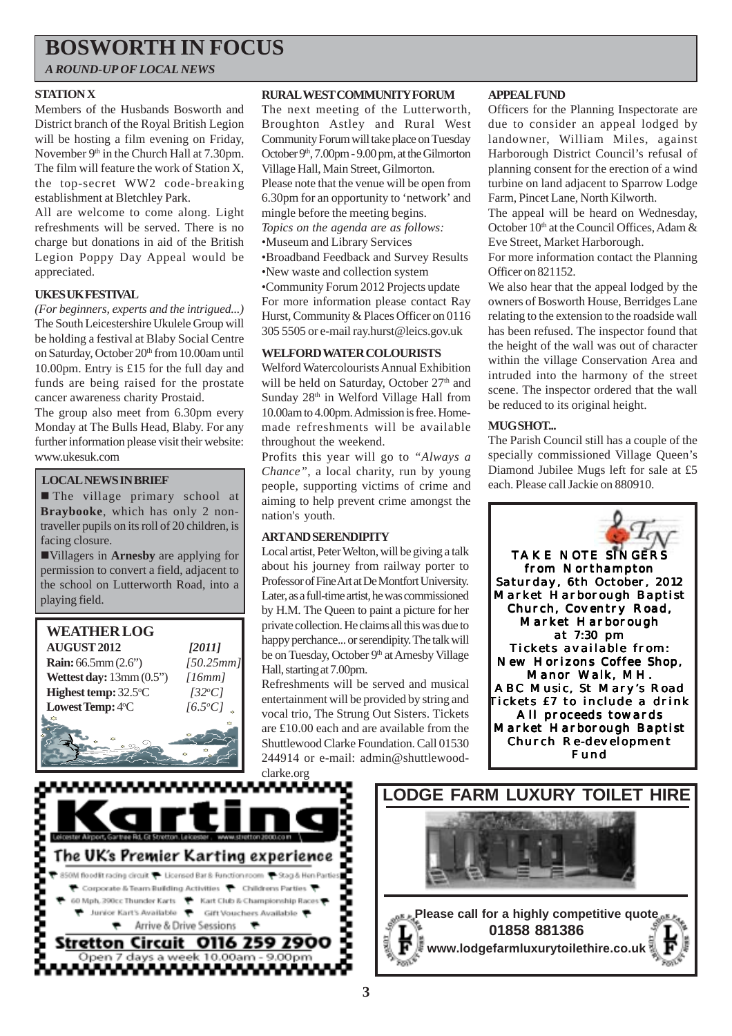### **BOSWORTH IN FOCUS**

*A ROUND-UP OF LOCAL NEWS*

#### **STATION X**

Members of the Husbands Bosworth and District branch of the Royal British Legion will be hosting a film evening on Friday, November 9<sup>th</sup> in the Church Hall at 7.30pm. The film will feature the work of Station X, the top-secret WW2 code-breaking establishment at Bletchley Park.

All are welcome to come along. Light refreshments will be served. There is no charge but donations in aid of the British Legion Poppy Day Appeal would be appreciated.

#### **UKES UK FESTIVAL**

*(For beginners, experts and the intrigued...)* The South Leicestershire Ukulele Group will be holding a festival at Blaby Social Centre on Saturday, October 20th from 10.00am until 10.00pm. Entry is £15 for the full day and funds are being raised for the prostate cancer awareness charity Prostaid.

The group also meet from 6.30pm every Monday at The Bulls Head, Blaby. For any further information please visit their website: www.ukesuk.com

#### **LOCAL NEWS IN BRIEF**

**In The village primary school at Braybooke**, which has only 2 nontraveller pupils on its roll of 20 children, is facing closure.

!Villagers in **Arnesby** are applying for permission to convert a field, adjacent to the school on Lutterworth Road, into a playing field.



#### **RURAL WEST COMMUNITY FORUM**

The next meeting of the Lutterworth, Broughton Astley and Rural West Community Forum will take place on Tuesday October 9th, 7.00pm - 9.00 pm, at the Gilmorton Village Hall, Main Street, Gilmorton. Please note that the venue will be open from 6.30pm for an opportunity to 'network' and mingle before the meeting begins. *Topics on the agenda are as follows:* •Museum and Library Services •Broadband Feedback and Survey Results •New waste and collection system •Community Forum 2012 Projects update For more information please contact Ray Hurst, Community & Places Officer on 0116 305 5505 or e-mail ray.hurst@leics.gov.uk

#### **WELFORD WATER COLOURISTS**

Welford Watercolourists Annual Exhibition will be held on Saturday, October 27<sup>th</sup> and Sunday 28<sup>th</sup> in Welford Village Hall from 10.00am to 4.00pm. Admission is free. Homemade refreshments will be available throughout the weekend.

Profits this year will go to *"Always a Chance"*, a local charity, run by young people, supporting victims of crime and aiming to help prevent crime amongst the nation's youth.

#### **ART AND SERENDIPITY**

Local artist, Peter Welton, will be giving a talk about his journey from railway porter to Professor of Fine Art at De Montfort University. Later, as a full-time artist, he was commissioned by H.M. The Queen to paint a picture for her private collection. He claims all this was due to happy perchance... or serendipity. The talk will be on Tuesday, October 9<sup>th</sup> at Arnesby Village Hall, starting at 7.00pm.

Refreshments will be served and musical entertainment will be provided by string and vocal trio, The Strung Out Sisters. Tickets are £10.00 each and are available from the Shuttlewood Clarke Foundation. Call 01530 244914 or e-mail: admin@shuttlewoodclarke.org

#### **APPEAL FUND**

Officers for the Planning Inspectorate are due to consider an appeal lodged by landowner, William Miles, against Harborough District Council's refusal of planning consent for the erection of a wind turbine on land adjacent to Sparrow Lodge Farm, Pincet Lane, North Kilworth.

The appeal will be heard on Wednesday, October  $10<sup>th</sup>$  at the Council Offices, Adam  $\&$ Eve Street, Market Harborough.

For more information contact the Planning Officer on 821152.

We also hear that the appeal lodged by the owners of Bosworth House, Berridges Lane relating to the extension to the roadside wall has been refused. The inspector found that the height of the wall was out of character within the village Conservation Area and intruded into the harmony of the street scene. The inspector ordered that the wall be reduced to its original height.

#### **MUG SHOT...**

The Parish Council still has a couple of the specially commissioned Village Queen's Diamond Jubilee Mugs left for sale at £5 each. Please call Jackie on 880910.





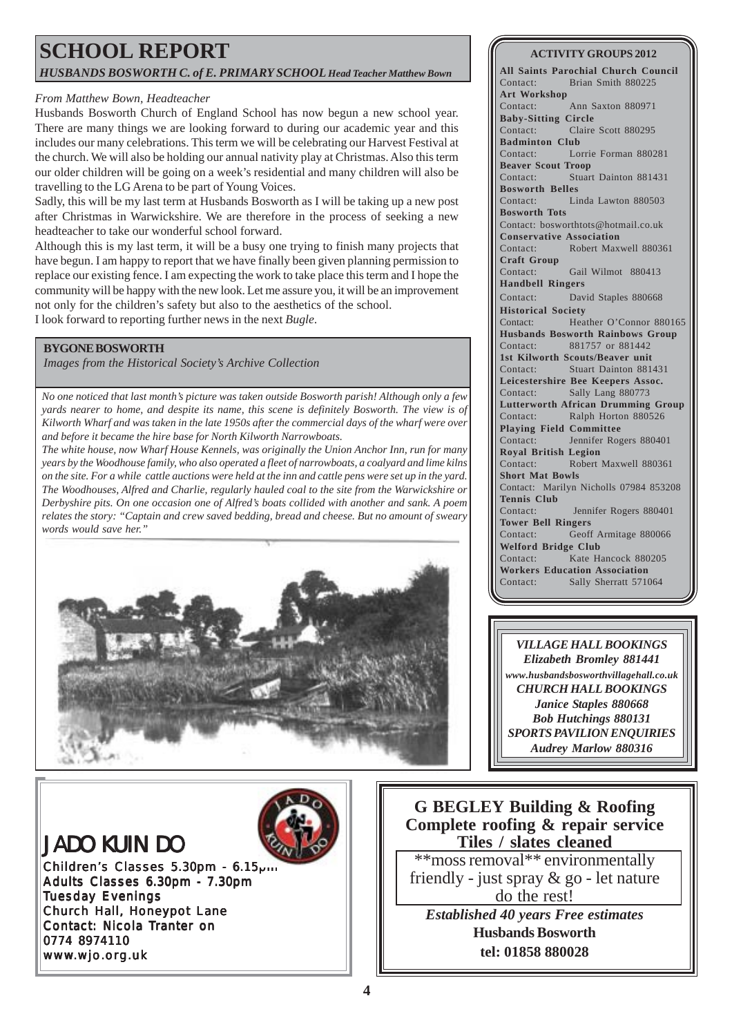### **SCHOOL REPORT** *HUSBANDS BOSWORTH C. of E. PRIMARY SCHOOL Head Teacher Matthew Bown*

#### *From Matthew Bown, Headteacher*

Husbands Bosworth Church of England School has now begun a new school year. There are many things we are looking forward to during our academic year and this includes our many celebrations. This term we will be celebrating our Harvest Festival at the church. We will also be holding our annual nativity play at Christmas. Also this term our older children will be going on a week's residential and many children will also be travelling to the LG Arena to be part of Young Voices.

Sadly, this will be my last term at Husbands Bosworth as I will be taking up a new post after Christmas in Warwickshire. We are therefore in the process of seeking a new headteacher to take our wonderful school forward.

Although this is my last term, it will be a busy one trying to finish many projects that have begun. I am happy to report that we have finally been given planning permission to replace our existing fence. I am expecting the work to take place this term and I hope the community will be happy with the new look. Let me assure you, it will be an improvement not only for the children's safety but also to the aesthetics of the school. I look forward to reporting further news in the next *Bugle*.

#### **BYGONE BOSWORTH**

*Images from the Historical Society's Archive Collection*

*No one noticed that last month's picture was taken outside Bosworth parish! Although only a few yards nearer to home, and despite its name, this scene is definitely Bosworth. The view is of Kilworth Wharf and was taken in the late 1950s after the commercial days of the wharf were over and before it became the hire base for North Kilworth Narrowboats.*

*The white house, now Wharf House Kennels, was originally the Union Anchor Inn, run for many years by the Woodhouse family, who also operated a fleet of narrowboats, a coalyard and lime kilns on the site. For a while cattle auctions were held at the inn and cattle pens were set up in the yard. The Woodhouses, Alfred and Charlie, regularly hauled coal to the site from the Warwickshire or Derbyshire pits. On one occasion one of Alfred's boats collided with another and sank. A poem relates the story: "Captain and crew saved bedding, bread and cheese. But no amount of sweary words would save her."*



#### **ACTIVITY GROUPS 2012**

**All Saints Parochial Church Council** Contact: Brian Smith 880225 **Art Workshop** Contact: Ann Saxton 880971 **Baby-Sitting Circle** Contact: Claire Scott 880295 **Badminton Club** Contact: Lorrie Forman 880281 **Beaver Scout Troop** Contact: Stuart Dainton 881431 **Bosworth Belles** Contact: Linda Lawton 880503 **Bosworth Tots** Contact: bosworthtots@hotmail.co.uk **Conservative Association** Contact: Robert Maxwell 880361 **Craft Group** Contact: Gail Wilmot 880413 **Handbell Ringers** Contact: David Staples 880668 **Historical Society** Contact: Heather O'Connor 880165 **Husbands Bosworth Rainbows Group** Contact: 881757 or 881442 **1st Kilworth Scouts/Beaver unit** Contact: Stuart Dainton 881431 **Leicestershire Bee Keepers Assoc.** Contact: Sally Lang 880773 **Lutterworth African Drumming Group** Contact: Ralph Horton 880526 **Playing Field Committee** Contact: Jennifer Rogers 880401 **Royal British Legion** Contact: Robert Maxwell 880361 **Short Mat Bowls** Contact: Marilyn Nicholls 07984 853208 **Tennis Club** Contact: Jennifer Rogers 880401 **Tower Bell Ringers** Contact: Geoff Armitage 880066 **Welford Bridge Club** Contact: Kate Hancock 880205 **Workers Education Association** Contact: Sally Sherratt 571064



### JADO KUIN DO

Children's Classes 5.30pm - 6.15pm Adults Classes 6.30pm - 7.30pm Tuesday Evenings Church Hall, Honeypot Lane Contact: Nicola Tranter on 0774 8974110 www.wjo.org.uk

**G BEGLEY Building & Roofing Complete roofing & repair service Tiles / slates cleaned** \*\*moss removal\*\* environmentally friendly - just spray & go - let nature do the rest! *Established 40 years Free estimates* **Husbands Bosworth tel: 01858 880028**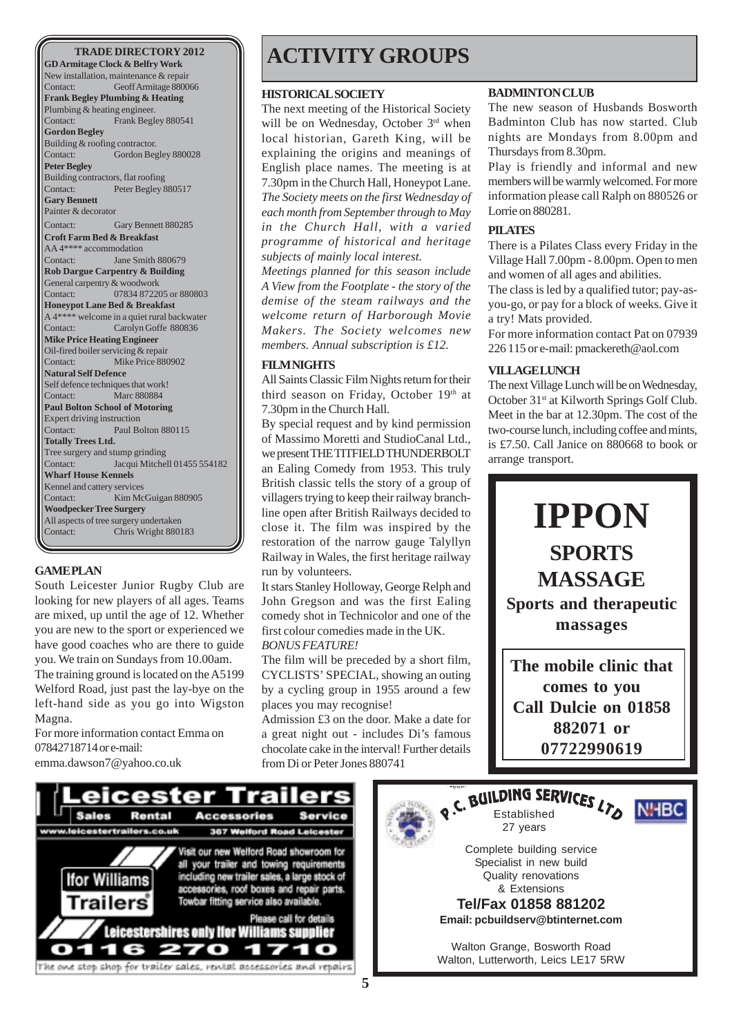**GD Armitage Clock & Belfry Work** New installation, maintenance & repair Contact: Geoff Armitage 880066 **Frank Begley Plumbing & Heating** Plumbing & heating engineer. Contact: Frank Begley 880541 **Gordon Begley** Building & roofing contractor. Contact: Gordon Begley 880028 **Peter Begley** Building contractors, flat roofing Contact: Peter Begley 880517 **Gary Bennett** Painter & decorator Contact: Gary Bennett 880285 **Croft Farm Bed & Breakfast** AA 4\*\*\*\* accommodation Contact: Jane Smith 880679 **Rob Dargue Carpentry & Building** General carpentry & woodwork Contact: 07834 872205 or 880803 **Honeypot Lane Bed & Breakfast** A 4\*\*\*\* welcome in a quiet rural backwater Contact: Carolyn Goffe 880836 **Mike Price Heating Engineer** Oil-fired boiler servicing & repair Contact: Mike Price 880902 **Natural Self Defence** Self defence techniques that work! Contact: Marc 880884 **Paul Bolton School of Motoring** Expert driving instruction Contact: Paul Bolton 880115 **Totally Trees Ltd.** Tree surgery and stump grinding Contact: Jacqui Mitchell 01455 554182 **Wharf House Kennels** Kennel and cattery services Contact: Kim McGuigan 880905 **Woodpecker Tree Surgery** All aspects of tree surgery undertaken

#### **GAME PLAN**

South Leicester Junior Rugby Club are looking for new players of all ages. Teams are mixed, up until the age of 12. Whether you are new to the sport or experienced we have good coaches who are there to guide you. We train on Sundays from 10.00am.

The training ground is located on the A5199 Welford Road, just past the lay-bye on the left-hand side as you go into Wigston Magna.

For more information contact Emma on 07842718714 or e-mail:

emma.dawson7@yahoo.co.uk

### **TRADE DIRECTORY 2012 | ACTIVITY GROUPS**

#### **HISTORICAL SOCIETY**

The next meeting of the Historical Society will be on Wednesday, October 3<sup>rd</sup> when local historian, Gareth King, will be explaining the origins and meanings of English place names. The meeting is at 7.30pm in the Church Hall, Honeypot Lane. *The Society meets on the first Wednesday of each month from September through to May in the Church Hall, with a varied programme of historical and heritage subjects of mainly local interest.*

*Meetings planned for this season include A View from the Footplate - the story of the demise of the steam railways and the welcome return of Harborough Movie Makers. The Society welcomes new members. Annual subscription is £12.*

#### **FILM NIGHTS**

All Saints Classic Film Nights return for their third season on Friday, October 19th at 7.30pm in the Church Hall.

Woodpecker Tree Surgery<br>All aspects of tree surgery undertaken<br>Contact: Chris Wright 880183 **IPPON** By special request and by kind permission of Massimo Moretti and StudioCanal Ltd., we present THE TITFIELD THUNDERBOLT an Ealing Comedy from 1953. This truly British classic tells the story of a group of villagers trying to keep their railway branchline open after British Railways decided to close it. The film was inspired by the restoration of the narrow gauge Talyllyn Railway in Wales, the first heritage railway run by volunteers.

> It stars Stanley Holloway, George Relph and John Gregson and was the first Ealing comedy shot in Technicolor and one of the first colour comedies made in the UK. *BONUS FEATURE!*

> The film will be preceded by a short film, CYCLISTS' SPECIAL, showing an outing by a cycling group in 1955 around a few places you may recognise!

> Admission £3 on the door. Make a date for a great night out - includes Di's famous chocolate cake in the interval! Further details from Di or Peter Jones 880741

#### **BADMINTON CLUB**

The new season of Husbands Bosworth Badminton Club has now started. Club nights are Mondays from 8.00pm and Thursdays from 8.30pm.

Play is friendly and informal and new members will be warmly welcomed. For more information please call Ralph on 880526 or Lorrie on 880281.

#### **PILATES**

There is a Pilates Class every Friday in the Village Hall 7.00pm - 8.00pm. Open to men and women of all ages and abilities.

The class is led by a qualified tutor; pay-asyou-go, or pay for a block of weeks. Give it a try! Mats provided.

For more information contact Pat on 07939 226 115 or e-mail: pmackereth@aol.com

#### **VILLAGE LUNCH**

The next Village Lunch will be on Wednesday, October 31st at Kilworth Springs Golf Club. Meet in the bar at 12.30pm. The cost of the two-course lunch, including coffee and mints, is £7.50. Call Janice on 880668 to book or arrange transport.



**comes to you Call Dulcie on 01858 882071 or 07722990619**



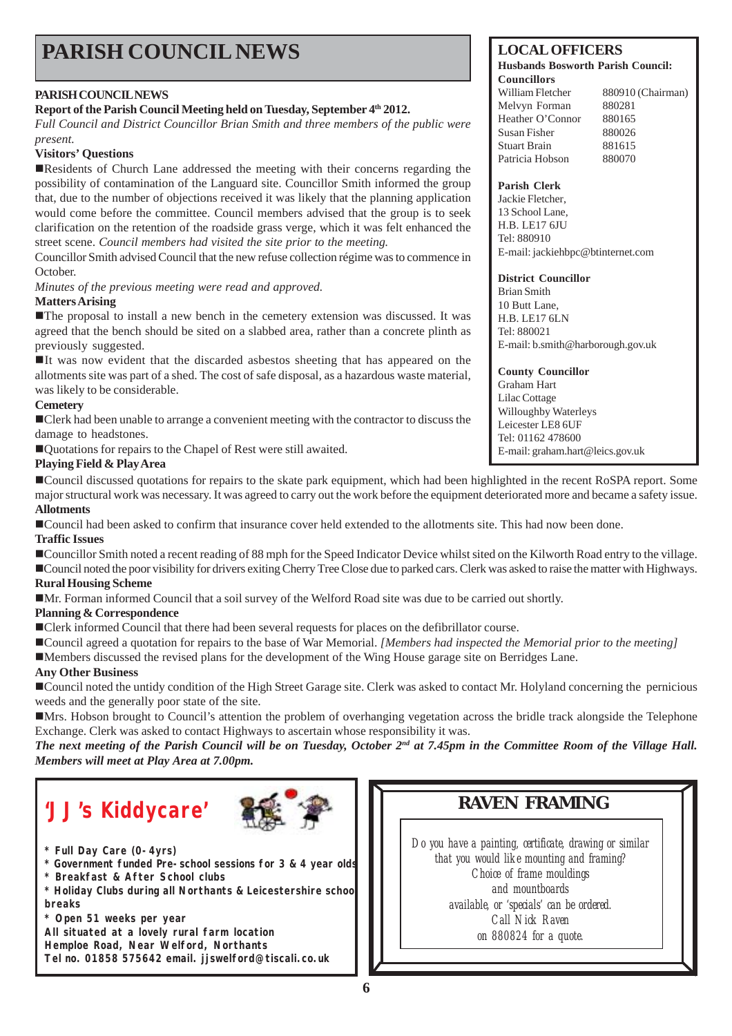## **PARISH COUNCIL NEWS** LOCAL OFFICERS

#### **PARISH COUNCIL NEWS**

#### **Report of the Parish Council Meeting held on Tuesday, September 4th 2012.**

*Full Council and District Councillor Brian Smith and three members of the public were present.*

#### **Visitors' Questions**

!Residents of Church Lane addressed the meeting with their concerns regarding the possibility of contamination of the Languard site. Councillor Smith informed the group that, due to the number of objections received it was likely that the planning application would come before the committee. Council members advised that the group is to seek clarification on the retention of the roadside grass verge, which it was felt enhanced the street scene. *Council members had visited the site prior to the meeting.*

Councillor Smith advised Council that the new refuse collection régime was to commence in October.

*Minutes of the previous meeting were read and approved.*

#### **Matters Arising**

!The proposal to install a new bench in the cemetery extension was discussed. It was agreed that the bench should be sited on a slabbed area, rather than a concrete plinth as previously suggested.

!It was now evident that the discarded asbestos sheeting that has appeared on the allotments site was part of a shed. The cost of safe disposal, as a hazardous waste material, was likely to be considerable.

#### **Cemetery**

!Clerk had been unable to arrange a convenient meeting with the contractor to discuss the damage to headstones.

!Quotations for repairs to the Chapel of Rest were still awaited.

#### **Playing Field & Play Area**

!Council discussed quotations for repairs to the skate park equipment, which had been highlighted in the recent RoSPA report. Some major structural work was necessary. It was agreed to carry out the work before the equipment deteriorated more and became a safety issue. **Allotments**

!Council had been asked to confirm that insurance cover held extended to the allotments site. This had now been done. **Traffic Issues**

#### !Councillor Smith noted a recent reading of 88 mph for the Speed Indicator Device whilst sited on the Kilworth Road entry to the village. !Council noted the poor visibility for drivers exiting Cherry Tree Close due to parked cars. Clerk was asked to raise the matter with Highways. **Rural Housing Scheme**

!Mr. Forman informed Council that a soil survey of the Welford Road site was due to be carried out shortly.

#### **Planning & Correspondence**

!Clerk informed Council that there had been several requests for places on the defibrillator course.

!Council agreed a quotation for repairs to the base of War Memorial. *[Members had inspected the Memorial prior to the meeting]*

!Members discussed the revised plans for the development of the Wing House garage site on Berridges Lane.

#### **Any Other Business**

!Council noted the untidy condition of the High Street Garage site. Clerk was asked to contact Mr. Holyland concerning the pernicious weeds and the generally poor state of the site.

!Mrs. Hobson brought to Council's attention the problem of overhanging vegetation across the bridle track alongside the Telephone Exchange. Clerk was asked to contact Highways to ascertain whose responsibility it was.

*The next meeting of the Parish Council will be on Tuesday, October 2nd at 7.45pm in the Committee Room of the Village Hall. Members will meet at Play Area at 7.00pm.*

## **RAVEN FRAMING 'JJ's Kiddycare'**



- **\* Full Day Care (0-4yrs)**
- **\* Government funded Pre-school sessions for 3 & 4 year olds**
- **\* Breakfast & After School clubs**
- **\* Holiday Clubs during all Northants & Leicestershire school breaks**
- **\* Open 51 weeks per year**

**All situated at a lovely rural farm location**

**Hemploe Road, Near Welford, Northants Tel no. 01858 575642 email. jjswelford@tiscali.co.uk**

#### *Do you have a painting, certificate, drawing or similar that you would like mounting and framing?*

*Choice of frame mouldings and mountboards available, or 'specials' can be ordered. Call Nick Raven on 880824 for a quote.*

**Husbands Bosworth Parish Council:**

#### **Councillors** William Fletcher 880910 (Chairman) Melvyn Forman 880281 Heather O'Connor 880165 Susan Fisher 880026 Stuart Brain 881615 Patricia Hobson 880070

#### **Parish Clerk**

Jackie Fletcher, 13 School Lane, H.B. LE17 6JU Tel: 880910 E-mail: jackiehbpc@btinternet.com

#### **District Councillor**

Brian Smith 10 Butt Lane, H.B. LE17 6LN Tel: 880021 E-mail: b.smith@harborough.gov.uk

**County Councillor** Graham Hart Lilac Cottage Willoughby Waterleys Leicester LE8 6UF Tel: 01162 478600 E-mail: graham.hart@leics.gov.uk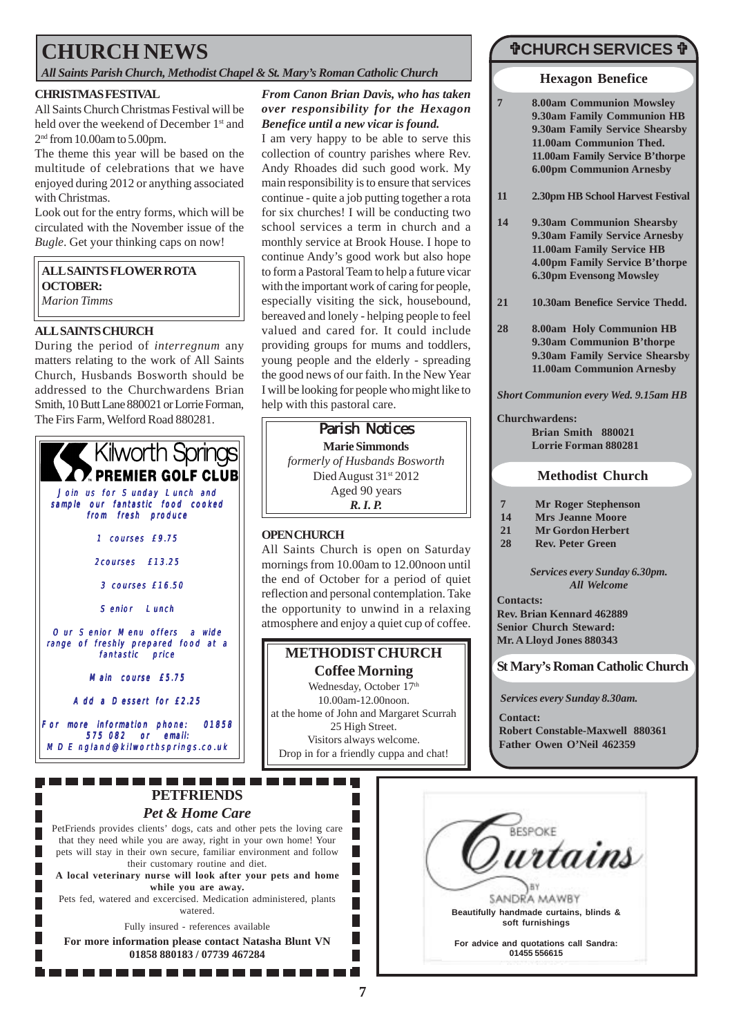## **CHURCH NEWS**

#### *All Saints Parish Church, Methodist Chapel & St. Mary's Roman Catholic Church*

#### **CHRISTMAS FESTIVAL**

All Saints Church Christmas Festival will be held over the weekend of December 1<sup>st</sup> and 2nd from 10.00am to 5.00pm.

The theme this year will be based on the multitude of celebrations that we have enjoyed during 2012 or anything associated with Christmas.

Look out for the entry forms, which will be circulated with the November issue of the *Bugle*. Get your thinking caps on now!

#### **ALL SAINTS FLOWER ROTA OCTOBER:** *Marion Timms*

#### **ALL SAINTS CHURCH**

During the period of *interregnum* any matters relating to the work of All Saints Church, Husbands Bosworth should be addressed to the Churchwardens Brian Smith, 10 Butt Lane 880021 or Lorrie Forman, The Firs Farm, Welford Road 880281.



#### *From Canon Brian Davis, who has taken over responsibility for the Hexagon Benefice until a new vicar is found.*

I am very happy to be able to serve this collection of country parishes where Rev. Andy Rhoades did such good work. My main responsibility is to ensure that services continue - quite a job putting together a rota for six churches! I will be conducting two school services a term in church and a monthly service at Brook House. I hope to continue Andy's good work but also hope to form a Pastoral Team to help a future vicar with the important work of caring for people, especially visiting the sick, housebound, bereaved and lonely - helping people to feel valued and cared for. It could include providing groups for mums and toddlers, young people and the elderly - spreading the good news of our faith. In the New Year I will be looking for people who might like to help with this pastoral care.

**Parish Notices Marie Simmonds** *formerly of Husbands Bosworth* Died August 31st 2012 Aged 90 years *R. I. P.*

#### **OPEN CHURCH**

All Saints Church is open on Saturday mornings from 10.00am to 12.00noon until the end of October for a period of quiet reflection and personal contemplation. Take the opportunity to unwind in a relaxing atmosphere and enjoy a quiet cup of coffee.

### **METHODIST CHURCH**

**Coffee Morning** Wednesday, October 17th 10.00am-12.00noon. at the home of John and Margaret Scurrah 25 High Street. Visitors always welcome. Drop in for a friendly cuppa and chat!

> $\overline{\phantom{a}}$ П П ■

П П П

### "**CHURCH SERVICES** "

#### **Hexagon Benefice**

**7 8.00am Communion Mowsley 9.30am Family Communion HB 9.30am Family Service Shearsby 11.00am Communion Thed. 11.00am Family Service B'thorpe 6.00pm Communion Arnesby**

- **11 2.30pm HB School Harvest Festival**
- **14 9.30am Communion Shearsby 9.30am Family Service Arnesby 11.00am Family Service HB 4.00pm Family Service B'thorpe 6.30pm Evensong Mowsley**
- **21 10.30am Benefice Service Thedd.**
- **28 8.00am Holy Communion HB 9.30am Communion B'thorpe 9.30am Family Service Shearsby 11.00am Communion Arnesby**

*Short Communion every Wed. 9.15am HB*

**Churchwardens: Brian Smith 880021 Lorrie Forman 880281**

#### **Methodist Church**

- **7 Mr Roger Stephenson**
- **14 Mrs Jeanne Moore**
- **21 Mr Gordon Herbert**
- **28 Rev. Peter Green**

*Services every Sunday 6.30pm. All Welcome*

**Contacts: Rev. Brian Kennard 462889 Senior Church Steward: Mr. A Lloyd Jones 880343**

**St Mary's Roman Catholic Church**

*Services every Sunday 8.30am.*

**Contact: Robert Constable-Maxwell 880361 Father Owen O'Neil 462359**